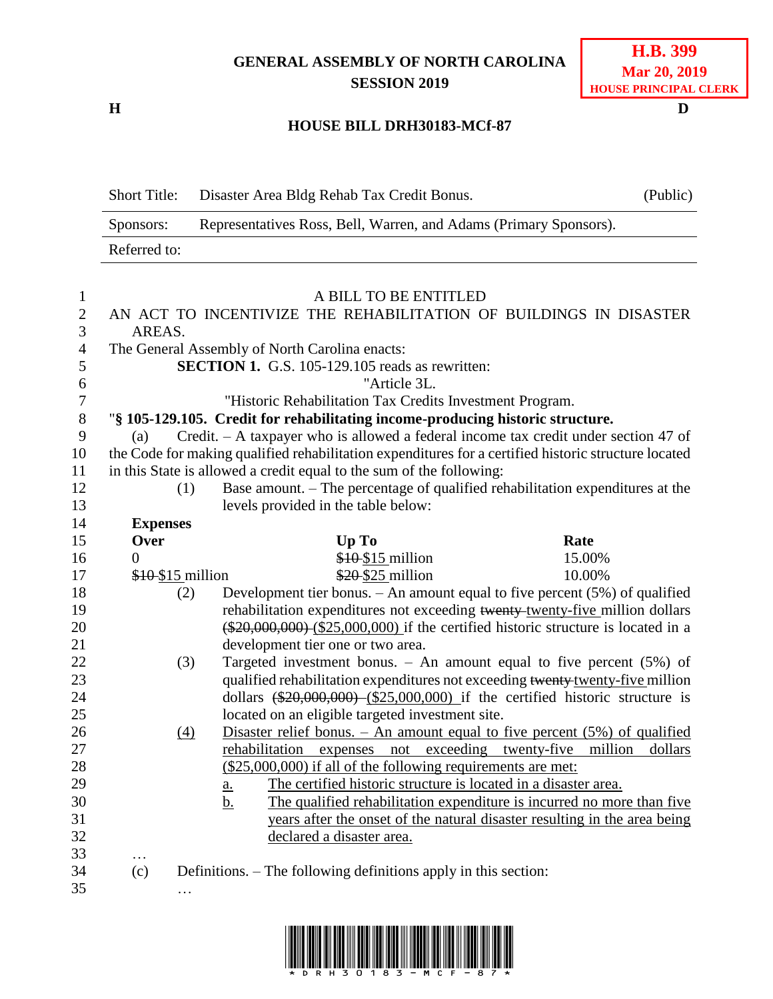## **GENERAL ASSEMBLY OF NORTH CAROLINA SESSION 2019**

**H D**

## **H.B. 399 Mar 20, 2019 HOUSE PRINCIPAL CLERK**

## **HOUSE BILL DRH30183-MCf-87**

|                  | <b>Short Title:</b>                                                            |                                     | Disaster Area Bldg Rehab Tax Credit Bonus.                                     | (Public)                                                                                             |  |
|------------------|--------------------------------------------------------------------------------|-------------------------------------|--------------------------------------------------------------------------------|------------------------------------------------------------------------------------------------------|--|
|                  | Representatives Ross, Bell, Warren, and Adams (Primary Sponsors).<br>Sponsors: |                                     |                                                                                |                                                                                                      |  |
|                  | Referred to:                                                                   |                                     |                                                                                |                                                                                                      |  |
| 1                |                                                                                |                                     | A BILL TO BE ENTITLED                                                          |                                                                                                      |  |
| $\overline{c}$   | AN ACT TO INCENTIVIZE THE REHABILITATION OF BUILDINGS IN DISASTER              |                                     |                                                                                |                                                                                                      |  |
| 3                | AREAS.                                                                         |                                     |                                                                                |                                                                                                      |  |
| $\overline{4}$   | The General Assembly of North Carolina enacts:                                 |                                     |                                                                                |                                                                                                      |  |
| 5                | <b>SECTION 1.</b> G.S. 105-129.105 reads as rewritten:                         |                                     |                                                                                |                                                                                                      |  |
| 6                | "Article 3L.                                                                   |                                     |                                                                                |                                                                                                      |  |
| $\boldsymbol{7}$ | "Historic Rehabilitation Tax Credits Investment Program.                       |                                     |                                                                                |                                                                                                      |  |
| $8\,$            |                                                                                |                                     | "§ 105-129.105. Credit for rehabilitating income-producing historic structure. |                                                                                                      |  |
| 9                | (a)                                                                            |                                     |                                                                                | Credit. - A taxpayer who is allowed a federal income tax credit under section 47 of                  |  |
| 10               |                                                                                |                                     |                                                                                | the Code for making qualified rehabilitation expenditures for a certified historic structure located |  |
| 11               | in this State is allowed a credit equal to the sum of the following:           |                                     |                                                                                |                                                                                                      |  |
| 12               | (1)                                                                            |                                     |                                                                                | Base amount. – The percentage of qualified rehabilitation expenditures at the                        |  |
| 13               |                                                                                | levels provided in the table below: |                                                                                |                                                                                                      |  |
| 14               | <b>Expenses</b>                                                                |                                     |                                                                                |                                                                                                      |  |
| 15               | Over                                                                           |                                     | Up To                                                                          | Rate                                                                                                 |  |
| 16               | $\overline{0}$                                                                 |                                     | $$10$15$ million                                                               | 15.00%                                                                                               |  |
| 17               | $$10$ \$15 million                                                             |                                     | \$20 \$25 million                                                              | 10.00%                                                                                               |  |
| 18               | (2)                                                                            |                                     |                                                                                | Development tier bonus. $-$ An amount equal to five percent (5%) of qualified                        |  |
| 19               |                                                                                |                                     |                                                                                | rehabilitation expenditures not exceeding twenty-twenty-five million dollars                         |  |
| 20               |                                                                                |                                     |                                                                                | $(*20,000,000)$ $(*25,000,000)$ if the certified historic structure is located in a                  |  |
| 21               |                                                                                | development tier one or two area.   |                                                                                |                                                                                                      |  |
| 22               | (3)                                                                            |                                     |                                                                                | Targeted investment bonus. $-$ An amount equal to five percent (5%) of                               |  |
| 23               |                                                                                |                                     |                                                                                | qualified rehabilitation expenditures not exceeding twenty-twenty-five million                       |  |
| 24               |                                                                                |                                     |                                                                                | dollars $(*20,000,000)$ $(*25,000,000)$ if the certified historic structure is                       |  |
| 25               |                                                                                |                                     | located on an eligible targeted investment site.                               |                                                                                                      |  |
| 26               | (4)                                                                            |                                     |                                                                                | Disaster relief bonus. $-$ An amount equal to five percent $(5%)$ of qualified                       |  |
| $27\,$           |                                                                                |                                     |                                                                                | rehabilitation expenses not exceeding twenty-five million<br>dollars                                 |  |
| 28               |                                                                                |                                     | $(\$25,000,000)$ if all of the following requirements are met:                 |                                                                                                      |  |
| 29               |                                                                                | <u>a.</u>                           | The certified historic structure is located in a disaster area.                |                                                                                                      |  |
| 30               |                                                                                | <u>b.</u>                           |                                                                                | The qualified rehabilitation expenditure is incurred no more than five                               |  |
| 31               |                                                                                |                                     |                                                                                | years after the onset of the natural disaster resulting in the area being                            |  |
| 32               |                                                                                |                                     | declared a disaster area.                                                      |                                                                                                      |  |
| 33<br>34         | .<br>(c)                                                                       |                                     | Definitions. – The following definitions apply in this section:                |                                                                                                      |  |
| 35               |                                                                                |                                     |                                                                                |                                                                                                      |  |
|                  | $\cdots$                                                                       |                                     |                                                                                |                                                                                                      |  |